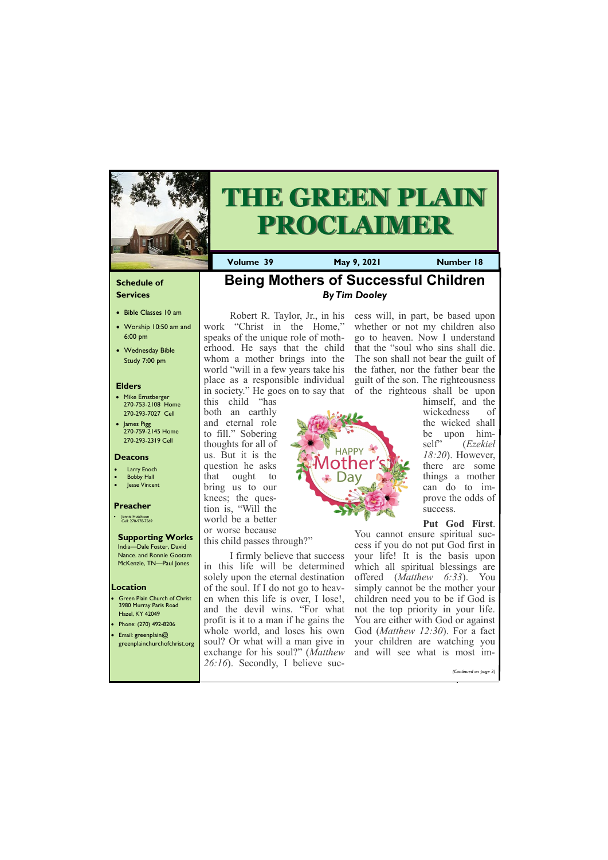#### **Schedule of Services**

- Bible Classes 10 am
- Worship 10:50 am and 6:00 pm
- Wednesday Bible Study 7:00 pm

#### **Elders**

- Mike Ernstberger 270-753-2108 Home 270-293-7027 Cell
- James Pigg 270-759-2145 Home 270-293-2319 Cell

- Green Plain Church of Christ 3980 Murray Paris Road Hazel, KY 42049
- Phone: (270) 492-8206 • Email: greenplain@ greenplainchurchofchrist.org



# **THE GREEN PLAIN PROCLAIMER**

#### **Location**

**Volume 39 May 9, 2021 Number 18**

#### **Deacons**

- **Larry Enoch**
- **Bobby Hall**
- Jesse Vincent

#### **Preacher**

• Jonnie Hutchison Cell: 270-978-7569

#### **Supporting Works**

India—Dale Foster, David Nance. and Ronnie Gootam McKenzie, TN—Paul Jones



Robert R. Taylor, Jr., in his work "Christ in the Home," speaks of the unique role of motherhood. He says that the child whom a mother brings into the world "will in a few years take his place as a responsible individual in society." He goes on to say that

this child "has both an earthly and eternal role to fill." Sobering thoughts for all of us. But it is the question he asks that ought to bring us to our knees; the question is, "Will the world be a better or worse because this child passes through?"

I firmly believe that success in this life will be determined solely upon the eternal destination of the soul. If I do not go to heaven when this life is over, I lose!, and the devil wins. "For what profit is it to a man if he gains the whole world, and loses his own soul? Or what will a man give in

cess will, in part, be based upon whether or not my children also go to heaven. Now I understand that the "soul who sins shall die. The son shall not bear the guilt of the father, nor the father bear the guilt of the son. The righteousness of the righteous shall be upon



himself, and the wickedness of the wicked shall be upon himself" (*Ezekiel 18:20*). However, there are some things a mother can do to improve the odds of success.

| exchange for his soul?" ( <i>Matthew</i> and will see what is most im- |  |  |                       |  |
|------------------------------------------------------------------------|--|--|-----------------------|--|
| $\vert$ 26:16). Secondly, I believe suc-                               |  |  | (Continued on page 3) |  |

### **Put God First**.

You cannot ensure spiritual success if you do not put God first in your life! It is the basis upon which all spiritual blessings are offered (*Matthew 6:33*). You simply cannot be the mother your children need you to be if God is not the top priority in your life. You are either with God or against God (*Matthew 12:30*). For a fact your children are watching you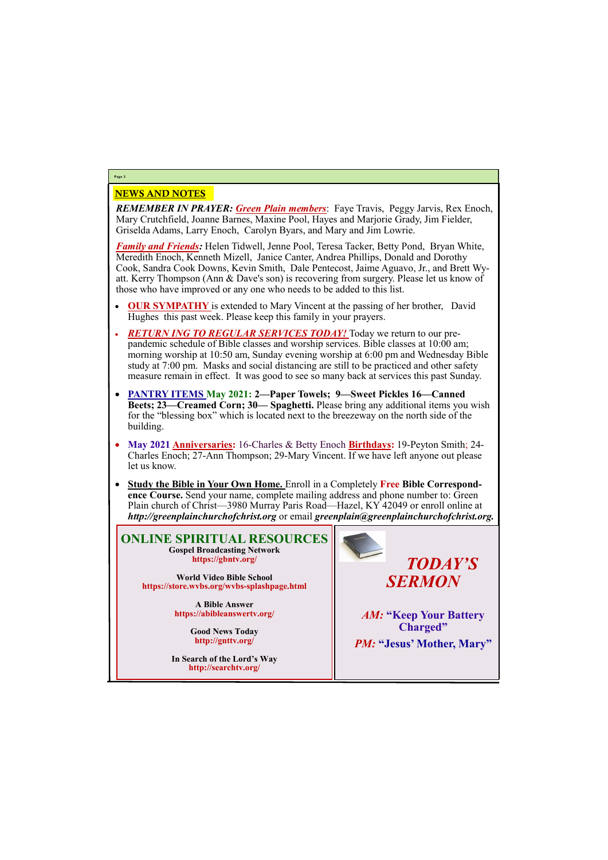## NEWS AND NOTES

*REMEMBER IN PRAYER: Green Plain members*: Faye Travis, Peggy Jarvis, Rex Enoch, Mary Crutchfield, Joanne Barnes, Maxine Pool, Hayes and Marjorie Grady, Jim Fielder, Griselda Adams, Larry Enoch, Carolyn Byars, and Mary and Jim Lowrie.

*Family and Friends:* Helen Tidwell, Jenne Pool, Teresa Tacker, Betty Pond, Bryan White, Meredith Enoch, Kenneth Mizell, Janice Canter, Andrea Phillips, Donald and Dorothy Cook, Sandra Cook Downs, Kevin Smith, Dale Pentecost, Jaime Aguavo, Jr., and Brett Wyatt. Kerry Thompson (Ann & Dave's son) is recovering from surgery. Please let us know of those who have improved or any one who needs to be added to this list.

- **OUR SYMPATHY** is extended to Mary Vincent at the passing of her brother, David Hughes this past week. Please keep this family in your prayers.
- *RETURN ING TO REGULAR SERVICES TODAY!* Today we return to our prepandemic schedule of Bible classes and worship services. Bible classes at 10:00 am; morning worship at 10:50 am, Sunday evening worship at 6:00 pm and Wednesday Bible study at 7:00 pm. Masks and social distancing are still to be practiced and other safety measure remain in effect. It was good to see so many back at services this past Sunday.
- **PANTRY ITEMS May 2021: 2—Paper Towels; 9—Sweet Pickles 16—Canned Beets; 23—Creamed Corn; 30— Spaghetti.** Please bring any additional items you wish for the "blessing box" which is located next to the breezeway on the north side of the building.
- **May 2021 Anniversaries:** 16-Charles & Betty Enoch **Birthdays:** 19-Peyton Smith; 24- Charles Enoch; 27-Ann Thompson; 29-Mary Vincent. If we have left anyone out please let us know.
- **Study the Bible in Your Own Home.** Enroll in a Completely **Free Bible Correspondence Course.** Send your name, complete mailing address and phone number to: Green Plain church of Christ—3980 Murray Paris Road—Hazel, KY 42049 or enroll online at *http://greenplainchurchofchrist.org* or email *greenplain@greenplainchurchofchrist.org.*

# **Page 2**

**ONLINE SPIRITUAL RESOURCES Gospel Broadcasting Network https://gbntv.org/**

**World Video Bible School https://store.wvbs.org/wvbs-splashpage.html**

> **A Bible Answer https://abibleanswertv.org/**

> > **Good News Today http://gnttv.org/**





*AM:* **"Keep Your Battery Charged"** *PM:* **"Jesus' Mother, Mary"**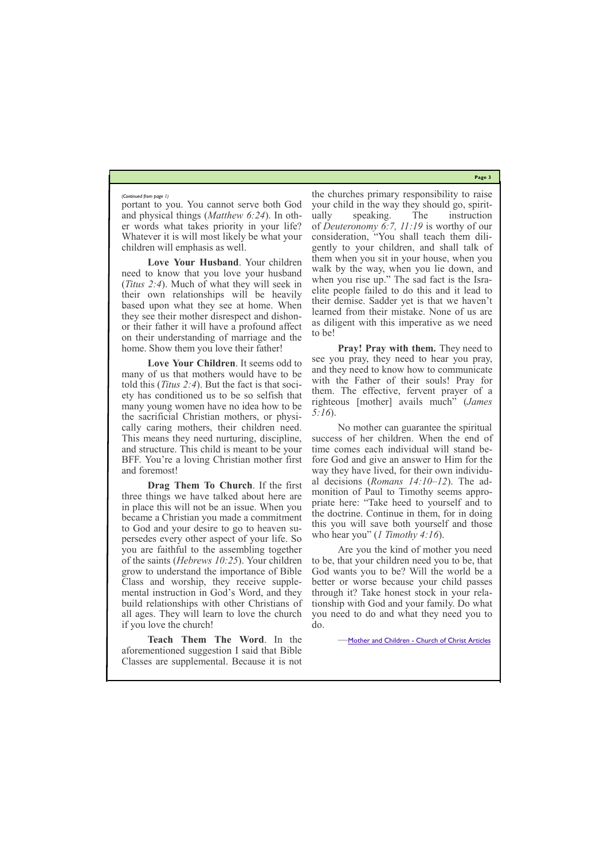**Page 3**

portant to you. You cannot serve both God and physical things (*Matthew 6:24*). In other words what takes priority in your life? Whatever it is will most likely be what your children will emphasis as well.

**Love Your Husband**. Your children need to know that you love your husband (*Titus 2:4*). Much of what they will seek in their own relationships will be heavily based upon what they see at home. When they see their mother disrespect and dishonor their father it will have a profound affect on their understanding of marriage and the home. Show them you love their father!

**Love Your Children**. It seems odd to many of us that mothers would have to be told this (*Titus 2:4*). But the fact is that society has conditioned us to be so selfish that many young women have no idea how to be the sacrificial Christian mothers, or physically caring mothers, their children need. This means they need nurturing, discipline, and structure. This child is meant to be your BFF. You're a loving Christian mother first and foremost!

**Drag Them To Church**. If the first three things we have talked about here are in place this will not be an issue. When you became a Christian you made a commitment to God and your desire to go to heaven supersedes every other aspect of your life. So you are faithful to the assembling together of the saints (*Hebrews 10:25*). Your children grow to understand the importance of Bible Class and worship, they receive supplemental instruction in God's Word, and they build relationships with other Christians of all ages. They will learn to love the church if you love the church!

**Teach Them The Word**. In the aforementioned suggestion I said that Bible Classes are supplemental. Because it is not

the churches primary responsibility to raise your child in the way they should go, spiritually speaking. The instruction of *Deuteronomy 6:7, 11:19* is worthy of our consideration, "You shall teach them diligently to your children, and shall talk of them when you sit in your house, when you walk by the way, when you lie down, and when you rise up." The sad fact is the Israelite people failed to do this and it lead to their demise. Sadder yet is that we haven't learned from their mistake. None of us are as diligent with this imperative as we need to be!

**Pray! Pray with them.** They need to see you pray, they need to hear you pray, and they need to know how to communicate with the Father of their souls! Pray for them. The effective, fervent prayer of a righteous [mother] avails much" (*James 5:16*).

No mother can guarantee the spiritual success of her children. When the end of time comes each individual will stand before God and give an answer to Him for the way they have lived, for their own individual decisions (*Romans 14:10–12*). The admonition of Paul to Timothy seems appropriate here: "Take heed to yourself and to the doctrine. Continue in them, for in doing this you will save both yourself and those who hear you" (*1 Timothy 4:16*).

Are you the kind of mother you need to be, that your children need you to be, that God wants you to be? Will the world be a better or worse because your child passes through it? Take honest stock in your relationship with God and your family. Do what you need to do and what they need you to do.

—Mother and Children - [Church of Christ Articles](https://churchofchristarticles.com/blog/administrator/mother-children/)

#### *(Continued from page 1)*